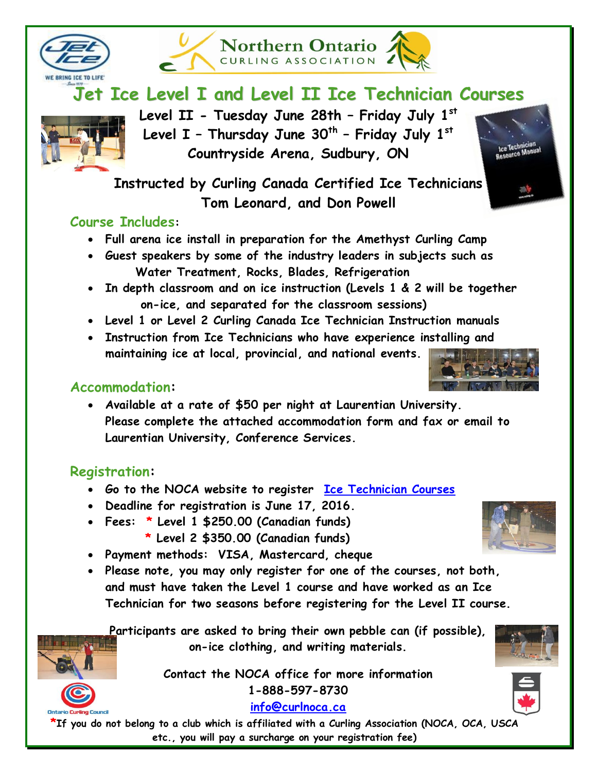



**Northern Ontario** CURLING ASSOCIATION



**Level II - Tuesday June 28th – Friday July 1st Level I – Thursday June 30th – Friday July 1st Countryside Arena, Sudbury, ON**

**Instructed by Curling Canada Certified Ice Technicians Tom Leonard, and Don Powell** 

## **Course Includes:**

- **Full arena ice install in preparation for the Amethyst Curling Camp**
- **Guest speakers by some of the industry leaders in subjects such as Water Treatment, Rocks, Blades, Refrigeration**
- **In depth classroom and on ice instruction (Levels 1 & 2 will be together on-ice, and separated for the classroom sessions)**
- **Level 1 or Level 2 Curling Canada Ice Technician Instruction manuals**
- **Instruction from Ice Technicians who have experience installing and maintaining ice at local, provincial, and national events.**

## **Accommodation:**

 **Available at a rate of \$50 per night at Laurentian University. Please complete the attached accommodation form and fax or email to Laurentian University, Conference Services.** 

# **Registration:**

- **Go to the NOCA website to register [Ice Technician Courses](http://curlnoca.ca/jet-ice-levels-1-and-2-ice-technician-courses/)**
- **Deadline for registration is June 17, 2016.**
- **Fees: \* Level 1 \$250.00 (Canadian funds)** 
	- **\* Level 2 \$350.00 (Canadian funds)**
- **Payment methods: VISA, Mastercard, cheque**
- **Please note, you may only register for one of the courses, not both, and must have taken the Level 1 course and have worked as an Ice Technician for two seasons before registering for the Level II course.**

**Participants are asked to bring their own pebble can (if possible), on-ice clothing, and writing materials.** 

> **Contact the NOCA office for more information 1-888-597-8730**

> > **[info@curlnoca.ca](mailto:info@curlnoca.ca)**

**\*If you do not belong to a club which is affiliated with a Curling Association (NOCA, OCA, USCA etc., you will pay a surcharge on your registration fee)**